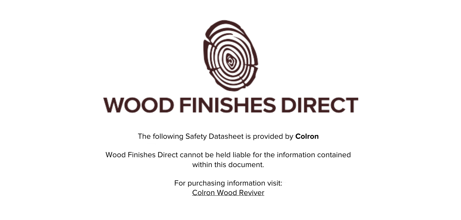

The following Safety Datasheet is provided by **Colron**

Wood Finishes Direct cannot be held liable for the information contained within this document

> For purchasing information visit: [Colron Wood Reviver](https://www.wood-finishes-direct.com/product/colron-wood-reviver)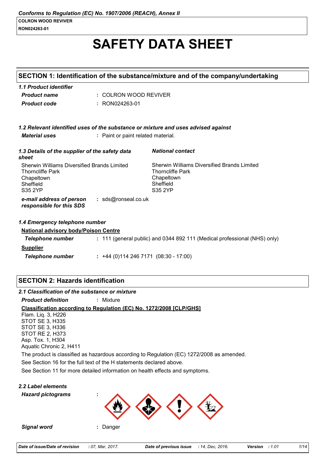# **SAFETY DATA SHEET**

| SECTION 1: Identification of the substance/mixture and of the company/undertaking                            |                                    |                                                                                                                     |
|--------------------------------------------------------------------------------------------------------------|------------------------------------|---------------------------------------------------------------------------------------------------------------------|
| 1.1 Product identifier<br><b>Product name</b>                                                                | : COLRON WOOD REVIVER              |                                                                                                                     |
| <b>Product code</b>                                                                                          | : RON024263-01                     |                                                                                                                     |
|                                                                                                              |                                    | 1.2 Relevant identified uses of the substance or mixture and uses advised against                                   |
| <b>Material uses</b>                                                                                         | : Paint or paint related material. |                                                                                                                     |
| 1.3 Details of the supplier of the safety data<br>sheet                                                      |                                    | <b>National contact</b>                                                                                             |
| Sherwin Williams Diversified Brands Limited<br><b>Thorncliffe Park</b><br>Chapeltown<br>Sheffield<br>S35 2YP |                                    | <b>Sherwin Williams Diversified Brands Limited</b><br><b>Thorncliffe Park</b><br>Chapeltown<br>Sheffield<br>S35 2YP |
| e-mail address of person<br>responsible for this SDS                                                         | : sds@ronseal.co.uk                |                                                                                                                     |
| 1.4 Emergency telephone number                                                                               |                                    |                                                                                                                     |
| <b>National advisory body/Poison Centre</b>                                                                  |                                    |                                                                                                                     |
| <b>Telephone number</b>                                                                                      |                                    | : 111 (general public) and 0344 892 111 (Medical professional (NHS) only)                                           |
| <b>Supplier</b>                                                                                              |                                    |                                                                                                                     |
| <b>Telephone number</b>                                                                                      |                                    | $: +44(0)1142467171(08:30 - 17:00)$                                                                                 |

# **SECTION 2: Hazards identification**

*2.1 Classification of the substance or mixture*

*Product definition* **:** Mixture

# **Classification according to Regulation (EC) No. 1272/2008 [CLP/GHS]**

See Section 11 for more detailed information on health effects and symptoms. See Section 16 for the full text of the H statements declared above. Flam. Liq. 3, H226 STOT SE 3, H335 STOT SE 3, H336 STOT RE 2, H373 Asp. Tox. 1, H304 Aquatic Chronic 2, H411 The product is classified as hazardous according to Regulation (EC) 1272/2008 as amended.

# *2.2 Label elements*

*Hazard pictograms* **:**



*Signal word* **:** Danger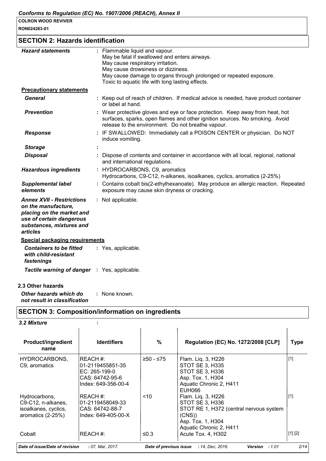| RON024263-01 |  |
|--------------|--|
|--------------|--|

# **SECTION 2: Hazards identification**

| <b>Hazard statements</b>                                                                                                                                 | : Flammable liquid and vapour.<br>May be fatal if swallowed and enters airways.<br>May cause respiratory irritation.<br>May cause drowsiness or dizziness.<br>May cause damage to organs through prolonged or repeated exposure.<br>Toxic to aquatic life with long lasting effects. |
|----------------------------------------------------------------------------------------------------------------------------------------------------------|--------------------------------------------------------------------------------------------------------------------------------------------------------------------------------------------------------------------------------------------------------------------------------------|
| <b>Precautionary statements</b>                                                                                                                          |                                                                                                                                                                                                                                                                                      |
| <b>General</b>                                                                                                                                           | : Keep out of reach of children. If medical advice is needed, have product container<br>or label at hand.                                                                                                                                                                            |
| <b>Prevention</b>                                                                                                                                        | : Wear protective gloves and eye or face protection. Keep away from heat, hot<br>surfaces, sparks, open flames and other ignition sources. No smoking. Avoid<br>release to the environment. Do not breathe vapour.                                                                   |
| <b>Response</b>                                                                                                                                          | IF SWALLOWED: Immediately call a POISON CENTER or physician. Do NOT<br>induce vomiting.                                                                                                                                                                                              |
| <b>Storage</b>                                                                                                                                           |                                                                                                                                                                                                                                                                                      |
| <b>Disposal</b>                                                                                                                                          | Dispose of contents and container in accordance with all local, regional, national<br>and international regulations.                                                                                                                                                                 |
| <b>Hazardous ingredients</b>                                                                                                                             | : HYDROCARBONS, C9, aromatics<br>Hydrocarbons, C9-C12, n-alkanes, isoalkanes, cyclics, aromatics (2-25%)                                                                                                                                                                             |
| <b>Supplemental label</b><br>elements                                                                                                                    | : Contains cobalt bis(2-ethylhexanoate). May produce an allergic reaction. Repeated<br>exposure may cause skin dryness or cracking.                                                                                                                                                  |
| <b>Annex XVII - Restrictions</b><br>on the manufacture,<br>placing on the market and<br>use of certain dangerous<br>substances, mixtures and<br>articles | : Not applicable.                                                                                                                                                                                                                                                                    |
| <b>Special packaging requirements</b>                                                                                                                    |                                                                                                                                                                                                                                                                                      |
| <b>Containers to be fitted</b><br>with child-resistant<br>fastenings                                                                                     | : Yes, applicable.                                                                                                                                                                                                                                                                   |
| <b>Tactile warning of danger : Yes, applicable.</b>                                                                                                      |                                                                                                                                                                                                                                                                                      |
|                                                                                                                                                          |                                                                                                                                                                                                                                                                                      |

#### **2.3 Other hazards**

*Other hazards which do not result in classification* **:** None known.

# **SECTION 3: Composition/information on ingredients**

| 3.2 Mixture                                                                      |                                                                                           |                        |                                                                                                                                           |             |  |
|----------------------------------------------------------------------------------|-------------------------------------------------------------------------------------------|------------------------|-------------------------------------------------------------------------------------------------------------------------------------------|-------------|--|
| <b>Product/ingredient</b><br>name                                                | <b>Identifiers</b>                                                                        | %                      | <b>Regulation (EC) No. 1272/2008 [CLP]</b>                                                                                                | <b>Type</b> |  |
| HYDROCARBONS,<br>C9, aromatics                                                   | REACH #:<br>01-2119455851-35<br>$EC: 265-199-0$<br>CAS: 64742-95-6<br>Index: 649-356-00-4 | ≥50 - ≤75              | Flam. Liq. 3, H226<br>STOT SE 3, H335<br>STOT SE 3, H336<br>Asp. Tox. 1, H304<br>Aquatic Chronic 2, H411<br>EUH066                        | $[1]$       |  |
| Hydrocarbons,<br>C9-C12, n-alkanes,<br>isoalkanes, cyclics,<br>aromatics (2-25%) | REACH #:<br>01-2119458049-33<br>CAS: 64742-88-7<br>$Index: 649-405-00-X$                  | < 10                   | Flam. Liq. 3, H226<br>STOT SE 3, H336<br>STOT RE 1, H372 (central nervous system<br>(CNS)<br>Asp. Tox. 1, H304<br>Aquatic Chronic 2, H411 | $[1]$       |  |
| Cobalt                                                                           | REACH#:                                                                                   | ≤0.3                   | Acute Tox. 4, H302                                                                                                                        | [1] [2]     |  |
| Date of issue/Date of revision                                                   | : 07, Mar, 2017.                                                                          | Date of previous issue | : 14, Dec. 2016.<br>:1.01<br><b>Version</b>                                                                                               | 2/14        |  |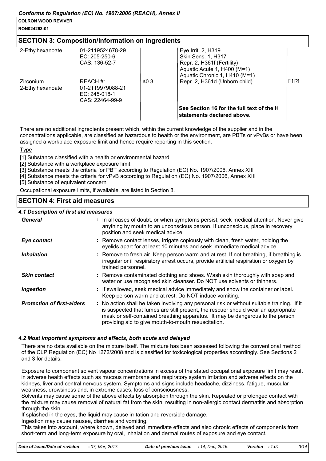#### **RON024263-01**

#### **SECTION 3: Composition/information on ingredients**

| 2-Ethylhexanoate<br>Zirconium<br>2-Ethylhexanoate | l01-2119524678-29<br>IEC: 205-250-6<br>ICAS: 136-52-7<br>IREACH #:<br>l01-2119979088-21 | ≤0.3 | Eye Irrit. 2, H319<br>Skin Sens. 1, H317<br>Repr. 2, H361f (Fertility)<br>Aquatic Acute 1, H400 (M=1)<br>Aquatic Chronic 1, H410 (M=1)<br>Repr. 2, H361d (Unborn child) | [1] [2] |
|---------------------------------------------------|-----------------------------------------------------------------------------------------|------|-------------------------------------------------------------------------------------------------------------------------------------------------------------------------|---------|
|                                                   | IEC: 245-018-1<br>ICAS: 22464-99-9                                                      |      |                                                                                                                                                                         |         |
|                                                   |                                                                                         |      | See Section 16 for the full text of the H<br>statements declared above.                                                                                                 |         |

There are no additional ingredients present which, within the current knowledge of the supplier and in the concentrations applicable, are classified as hazardous to health or the environment, are PBTs or vPvBs or have been assigned a workplace exposure limit and hence require reporting in this section.

Type

[1] Substance classified with a health or environmental hazard

- [2] Substance with a workplace exposure limit
- [3] Substance meets the criteria for PBT according to Regulation (EC) No. 1907/2006, Annex XIII
- [4] Substance meets the criteria for vPvB according to Regulation (EC) No. 1907/2006, Annex XIII

[5] Substance of equivalent concern

Occupational exposure limits, if available, are listed in Section 8.

## **SECTION 4: First aid measures**

#### *4.1 Description of first aid measures*

| General                           | : In all cases of doubt, or when symptoms persist, seek medical attention. Never give<br>anything by mouth to an unconscious person. If unconscious, place in recovery<br>position and seek medical advice.                                                                                                             |
|-----------------------------------|-------------------------------------------------------------------------------------------------------------------------------------------------------------------------------------------------------------------------------------------------------------------------------------------------------------------------|
| Eye contact                       | : Remove contact lenses, irrigate copiously with clean, fresh water, holding the<br>eyelids apart for at least 10 minutes and seek immediate medical advice.                                                                                                                                                            |
| <i><b>Inhalation</b></i>          | : Remove to fresh air. Keep person warm and at rest. If not breathing, if breathing is<br>irregular or if respiratory arrest occurs, provide artificial respiration or oxygen by<br>trained personnel.                                                                                                                  |
| <b>Skin contact</b>               | : Remove contaminated clothing and shoes. Wash skin thoroughly with soap and<br>water or use recognised skin cleanser. Do NOT use solvents or thinners.                                                                                                                                                                 |
| Ingestion                         | : If swallowed, seek medical advice immediately and show the container or label.<br>Keep person warm and at rest. Do NOT induce vomiting.                                                                                                                                                                               |
| <b>Protection of first-aiders</b> | : No action shall be taken involving any personal risk or without suitable training. If it<br>is suspected that fumes are still present, the rescuer should wear an appropriate<br>mask or self-contained breathing apparatus. It may be dangerous to the person<br>providing aid to give mouth-to-mouth resuscitation. |

#### *4.2 Most important symptoms and effects, both acute and delayed*

There are no data available on the mixture itself. The mixture has been assessed following the conventional method of the CLP Regulation (EC) No 1272/2008 and is classified for toxicological properties accordingly. See Sections 2 and 3 for details.

Exposure to component solvent vapour concentrations in excess of the stated occupational exposure limit may result in adverse health effects such as mucous membrane and respiratory system irritation and adverse effects on the kidneys, liver and central nervous system. Symptoms and signs include headache, dizziness, fatigue, muscular weakness, drowsiness and, in extreme cases, loss of consciousness.

Solvents may cause some of the above effects by absorption through the skin. Repeated or prolonged contact with the mixture may cause removal of natural fat from the skin, resulting in non-allergic contact dermatitis and absorption through the skin.

If splashed in the eyes, the liquid may cause irritation and reversible damage.

Ingestion may cause nausea, diarrhea and vomiting.

This takes into account, where known, delayed and immediate effects and also chronic effects of components from short-term and long-term exposure by oral, inhalation and dermal routes of exposure and eye contact.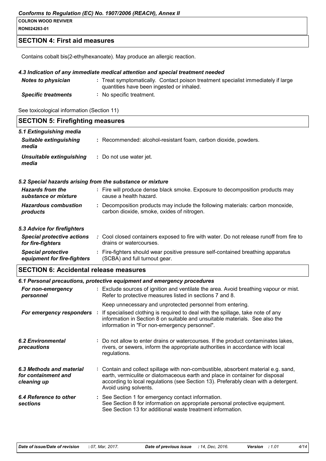#### *Conforms to Regulation (EC) No. 1907/2006 (REACH), Annex II*

#### **COLRON WOOD REVIVER**

**RON024263-01**

### **SECTION 4: First aid measures**

Contains cobalt bis(2-ethylhexanoate). May produce an allergic reaction.

#### *4.3 Indication of any immediate medical attention and special treatment needed*

| <b>Notes to physician</b>  | : Treat symptomatically. Contact poison treatment specialist immediately if large<br>quantities have been ingested or inhaled. |
|----------------------------|--------------------------------------------------------------------------------------------------------------------------------|
| <b>Specific treatments</b> | No specific treatment.                                                                                                         |

See toxicological information (Section 11)

| <b>SECTION 5: Firefighting measures</b>                           |  |                                                                                                                                                                                                                                                                                    |  |
|-------------------------------------------------------------------|--|------------------------------------------------------------------------------------------------------------------------------------------------------------------------------------------------------------------------------------------------------------------------------------|--|
| 5.1 Extinguishing media<br><b>Suitable extinguishing</b><br>media |  | : Recommended: alcohol-resistant foam, carbon dioxide, powders.                                                                                                                                                                                                                    |  |
| <b>Unsuitable extinguishing</b><br>media                          |  | : Do not use water jet.                                                                                                                                                                                                                                                            |  |
| 5.2 Special hazards arising from the substance or mixture         |  |                                                                                                                                                                                                                                                                                    |  |
| <b>Hazards from the</b><br>substance or mixture                   |  | : Fire will produce dense black smoke. Exposure to decomposition products may<br>cause a health hazard.                                                                                                                                                                            |  |
| <b>Hazardous combustion</b><br>products                           |  | : Decomposition products may include the following materials: carbon monoxide,<br>carbon dioxide, smoke, oxides of nitrogen.                                                                                                                                                       |  |
| 5.3 Advice for firefighters                                       |  |                                                                                                                                                                                                                                                                                    |  |
| <b>Special protective actions</b><br>for fire-fighters            |  | : Cool closed containers exposed to fire with water. Do not release runoff from fire to<br>drains or watercourses.                                                                                                                                                                 |  |
| <b>Special protective</b><br>equipment for fire-fighters          |  | : Fire-fighters should wear positive pressure self-contained breathing apparatus<br>(SCBA) and full turnout gear.                                                                                                                                                                  |  |
| <b>SECTION 6: Accidental release measures</b>                     |  |                                                                                                                                                                                                                                                                                    |  |
|                                                                   |  | 6.1 Personal precautions, protective equipment and emergency procedures                                                                                                                                                                                                            |  |
| For non-emergency<br>personnel                                    |  | : Exclude sources of ignition and ventilate the area. Avoid breathing vapour or mist.<br>Refer to protective measures listed in sections 7 and 8.                                                                                                                                  |  |
|                                                                   |  | Keep unnecessary and unprotected personnel from entering.                                                                                                                                                                                                                          |  |
| For emergency responders :                                        |  | If specialised clothing is required to deal with the spillage, take note of any<br>information in Section 8 on suitable and unsuitable materials. See also the                                                                                                                     |  |
|                                                                   |  | information in "For non-emergency personnel".                                                                                                                                                                                                                                      |  |
| <b>6.2 Environmental</b><br>precautions                           |  | : Do not allow to enter drains or watercourses. If the product contaminates lakes,<br>rivers, or sewers, inform the appropriate authorities in accordance with local<br>regulations.                                                                                               |  |
| 6.3 Methods and material<br>for containment and<br>cleaning up    |  | : Contain and collect spillage with non-combustible, absorbent material e.g. sand,<br>earth, vermiculite or diatomaceous earth and place in container for disposal<br>according to local regulations (see Section 13). Preferably clean with a detergent.<br>Avoid using solvents. |  |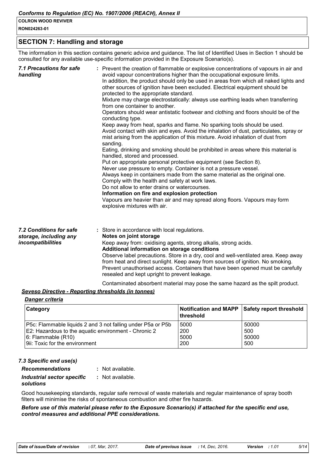**RON024263-01**

#### **SECTION 7: Handling and storage**

The information in this section contains generic advice and guidance. The list of Identified Uses in Section 1 should be consulted for any available use-specific information provided in the Exposure Scenario(s).

| <b>7.1 Precautions for safe</b><br>handling                            | : Prevent the creation of flammable or explosive concentrations of vapours in air and<br>avoid vapour concentrations higher than the occupational exposure limits.<br>In addition, the product should only be used in areas from which all naked lights and<br>other sources of ignition have been excluded. Electrical equipment should be<br>protected to the appropriate standard.<br>Mixture may charge electrostatically: always use earthing leads when transferring<br>from one container to another.<br>Operators should wear antistatic footwear and clothing and floors should be of the<br>conducting type.<br>Keep away from heat, sparks and flame. No sparking tools should be used.<br>Avoid contact with skin and eyes. Avoid the inhalation of dust, particulates, spray or<br>mist arising from the application of this mixture. Avoid inhalation of dust from<br>sanding.<br>Eating, drinking and smoking should be prohibited in areas where this material is<br>handled, stored and processed.<br>Put on appropriate personal protective equipment (see Section 8).<br>Never use pressure to empty. Container is not a pressure vessel.<br>Always keep in containers made from the same material as the original one.<br>Comply with the health and safety at work laws.<br>Do not allow to enter drains or watercourses.<br>Information on fire and explosion protection<br>Vapours are heavier than air and may spread along floors. Vapours may form<br>explosive mixtures with air. |
|------------------------------------------------------------------------|--------------------------------------------------------------------------------------------------------------------------------------------------------------------------------------------------------------------------------------------------------------------------------------------------------------------------------------------------------------------------------------------------------------------------------------------------------------------------------------------------------------------------------------------------------------------------------------------------------------------------------------------------------------------------------------------------------------------------------------------------------------------------------------------------------------------------------------------------------------------------------------------------------------------------------------------------------------------------------------------------------------------------------------------------------------------------------------------------------------------------------------------------------------------------------------------------------------------------------------------------------------------------------------------------------------------------------------------------------------------------------------------------------------------------------------------------------------------------------------------------------------|
| 7.2 Conditions for safe<br>storage, including any<br>incompatibilities | : Store in accordance with local regulations.<br>Notes on joint storage<br>Keep away from: oxidising agents, strong alkalis, strong acids.<br>Additional information on storage conditions<br>Observe label precautions. Store in a dry, cool and well-ventilated area. Keep away<br>from heat and direct sunlight. Keep away from sources of ignition. No smoking.<br>Prevent unauthorised access. Containers that have been opened must be carefully                                                                                                                                                                                                                                                                                                                                                                                                                                                                                                                                                                                                                                                                                                                                                                                                                                                                                                                                                                                                                                                       |

#### *Seveso Directive - Reporting thresholds (in tonnes)*

# *Danger criteria*

| <b>Category</b>                                                    | Notification and MAPP Safety report threshold<br>∣threshold |       |
|--------------------------------------------------------------------|-------------------------------------------------------------|-------|
| <b>P5c: Flammable liquids 2 and 3 not falling under P5a or P5b</b> | 5000                                                        | 50000 |
| E2: Hazardous to the aquatic environment - Chronic 2               | 200                                                         | 500   |
| $6:$ Flammable $(R10)$                                             | 5000                                                        | 50000 |
| 9ii: Toxic for the environment                                     | 200                                                         | 500   |

Contaminated absorbent material may pose the same hazard as the spilt product.

resealed and kept upright to prevent leakage.

#### *7.3 Specific end use(s)*

| <b>Recommendations</b>     | : Not available. |
|----------------------------|------------------|
| Industrial sector specific | : Not available. |
| solutions                  |                  |

Good housekeeping standards, regular safe removal of waste materials and regular maintenance of spray booth filters will minimise the risks of spontaneous combustion and other fire hazards.

#### *Before use of this material please refer to the Exposure Scenario(s) if attached for the specific end use, control measures and additional PPE considerations.*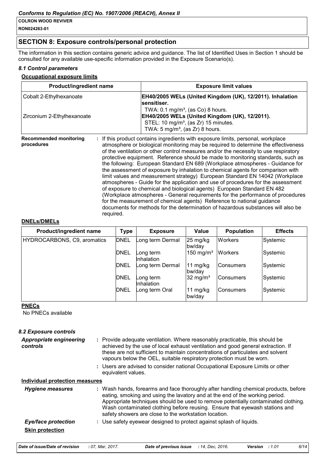#### **RON024263-01**

# **SECTION 8: Exposure controls/personal protection**

The information in this section contains generic advice and guidance. The list of Identified Uses in Section 1 should be consulted for any available use-specific information provided in the Exposure Scenario(s).

#### *8.1 Control parameters*

#### **Occupational exposure limits**

| Product/ingredient name                     |                                                                                                                                                                                                                                                                                                                                                                                                                                                                                                                                                                                                                                                                                                                                                                                                                                                                                                                                                                                                                     | <b>Exposure limit values</b>                                                                                                                                                                                       |
|---------------------------------------------|---------------------------------------------------------------------------------------------------------------------------------------------------------------------------------------------------------------------------------------------------------------------------------------------------------------------------------------------------------------------------------------------------------------------------------------------------------------------------------------------------------------------------------------------------------------------------------------------------------------------------------------------------------------------------------------------------------------------------------------------------------------------------------------------------------------------------------------------------------------------------------------------------------------------------------------------------------------------------------------------------------------------|--------------------------------------------------------------------------------------------------------------------------------------------------------------------------------------------------------------------|
| Cobalt 2-Ethylhexanoate                     |                                                                                                                                                                                                                                                                                                                                                                                                                                                                                                                                                                                                                                                                                                                                                                                                                                                                                                                                                                                                                     | EH40/2005 WELs (United Kingdom (UK), 12/2011). Inhalation                                                                                                                                                          |
| Zirconium 2-Ethylhexanoate                  |                                                                                                                                                                                                                                                                                                                                                                                                                                                                                                                                                                                                                                                                                                                                                                                                                                                                                                                                                                                                                     | sensitiser.<br>TWA: $0.1 \,\mathrm{mg/m^3}$ , (as Co) 8 hours.<br>EH40/2005 WELs (United Kingdom (UK), 12/2011).<br>STEL: 10 mg/m <sup>3</sup> , (as Zr) 15 minutes.<br>TWA: $5 \text{ mg/m}^3$ , (as Zr) 8 hours. |
| <b>Recommended monitoring</b><br>procedures | If this product contains ingredients with exposure limits, personal, workplace<br>atmosphere or biological monitoring may be required to determine the effectiveness<br>of the ventilation or other control measures and/or the necessity to use respiratory<br>protective equipment. Reference should be made to monitoring standards, such as<br>the following: European Standard EN 689 (Workplace atmospheres - Guidance for<br>the assessment of exposure by inhalation to chemical agents for comparison with<br>limit values and measurement strategy) European Standard EN 14042 (Workplace<br>atmospheres - Guide for the application and use of procedures for the assessment<br>of exposure to chemical and biological agents) European Standard EN 482<br>(Workplace atmospheres - General requirements for the performance of procedures<br>for the measurement of chemical agents) Reference to national guidance<br>documents for methods for the determination of hazardous substances will also be |                                                                                                                                                                                                                    |

#### **DNELs/DMELs**

| Product/ingredient name     | <b>Type</b> | <b>Exposure</b>         | Value                        | <b>Population</b> | <b>Effects</b> |
|-----------------------------|-------------|-------------------------|------------------------------|-------------------|----------------|
| HYDROCARBONS, C9, aromatics | <b>DNEL</b> | Long term Dermal        | $25 \text{ mg/kg}$<br>bw/day | <b>Workers</b>    | Systemic       |
|                             | <b>DNEL</b> | _ong term<br>Inhalation | 150 mg/m <sup>3</sup>        | <b>Workers</b>    | Systemic       |
|                             | <b>DNEL</b> | Long term Dermal        | 11 mg/kg<br>bw/day           | <b>Consumers</b>  | Systemic       |
|                             | <b>DNEL</b> | ong term_<br>Inhalation | 32 mg/m <sup>3</sup>         | <b>Consumers</b>  | Systemic       |
|                             | <b>DNEL</b> | ong term OralL          | 11 mg/kg<br>bw/day           | <b>Consumers</b>  | Systemic       |

#### **PNECs**

No PNECs available

#### *8.2 Exposure controls*

| <b>Appropriate engineering</b><br>controls | Provide adequate ventilation. Where reasonably practicable, this should be<br>achieved by the use of local exhaust ventilation and good general extraction. If<br>these are not sufficient to maintain concentrations of particulates and solvent<br>vapours below the OEL, suitable respiratory protection must be worn.                                                                         |
|--------------------------------------------|---------------------------------------------------------------------------------------------------------------------------------------------------------------------------------------------------------------------------------------------------------------------------------------------------------------------------------------------------------------------------------------------------|
|                                            | : Users are advised to consider national Occupational Exposure Limits or other<br>equivalent values.                                                                                                                                                                                                                                                                                              |
| Individual protection measures             |                                                                                                                                                                                                                                                                                                                                                                                                   |
| <b>Hygiene measures</b>                    | : Wash hands, forearms and face thoroughly after handling chemical products, before<br>eating, smoking and using the lavatory and at the end of the working period.<br>Appropriate techniques should be used to remove potentially contaminated clothing.<br>Wash contaminated clothing before reusing. Ensure that eyewash stations and<br>safety showers are close to the workstation location. |
| <b>Eye/face protection</b>                 | : Use safety eyewear designed to protect against splash of liquids.                                                                                                                                                                                                                                                                                                                               |
| <b>Skin protection</b>                     |                                                                                                                                                                                                                                                                                                                                                                                                   |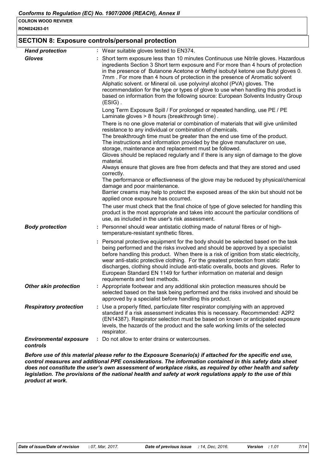**RON024263-01**

#### **SECTION 8: Exposure controls/personal protection**

| <b>Hand protection</b>                    | : Wear suitable gloves tested to EN374.                                                                                                                                                                                                                                                                                                                                                                                                                                                                                                                                                                                                                                                                                                                                                                                                                                                                                    |
|-------------------------------------------|----------------------------------------------------------------------------------------------------------------------------------------------------------------------------------------------------------------------------------------------------------------------------------------------------------------------------------------------------------------------------------------------------------------------------------------------------------------------------------------------------------------------------------------------------------------------------------------------------------------------------------------------------------------------------------------------------------------------------------------------------------------------------------------------------------------------------------------------------------------------------------------------------------------------------|
| <b>Gloves</b>                             | : Short term exposure less than 10 minutes Continuous use Nitrile gloves. Hazardous<br>ingredients Section 3 Short term exposure and For more than 4 hours of protection<br>in the presence of Butanone Acetone or Methyl isobutyl ketone use Butyl gloves 0.<br>7mm. For more than 4 hours of protection in the presence of Aromatic solvent<br>Aliphatic solvent. or Mineral oil. use polyvinyl alcohol (PVA) gloves. The<br>recommendation for the type or types of glove to use when handling this product is<br>based on information from the following source: European Solvents Industry Group<br>$(ESIG)$ .                                                                                                                                                                                                                                                                                                        |
|                                           | Long Term Exposure Spill / For prolonged or repeated handling, use PE / PE<br>Laminate gloves > 8 hours (breakthrough time).                                                                                                                                                                                                                                                                                                                                                                                                                                                                                                                                                                                                                                                                                                                                                                                               |
|                                           | There is no one glove material or combination of materials that will give unlimited<br>resistance to any individual or combination of chemicals.<br>The breakthrough time must be greater than the end use time of the product.<br>The instructions and information provided by the glove manufacturer on use,<br>storage, maintenance and replacement must be followed.<br>Gloves should be replaced regularly and if there is any sign of damage to the glove<br>material.<br>Always ensure that gloves are free from defects and that they are stored and used<br>correctly.<br>The performance or effectiveness of the glove may be reduced by physical/chemical<br>damage and poor maintenance.<br>Barrier creams may help to protect the exposed areas of the skin but should not be<br>applied once exposure has occurred.<br>The user must check that the final choice of type of glove selected for handling this |
|                                           | product is the most appropriate and takes into account the particular conditions of<br>use, as included in the user's risk assessment.                                                                                                                                                                                                                                                                                                                                                                                                                                                                                                                                                                                                                                                                                                                                                                                     |
| <b>Body protection</b>                    | : Personnel should wear antistatic clothing made of natural fibres or of high-<br>temperature-resistant synthetic fibres.                                                                                                                                                                                                                                                                                                                                                                                                                                                                                                                                                                                                                                                                                                                                                                                                  |
|                                           | : Personal protective equipment for the body should be selected based on the task<br>being performed and the risks involved and should be approved by a specialist<br>before handling this product. When there is a risk of ignition from static electricity,<br>wear anti-static protective clothing. For the greatest protection from static<br>discharges, clothing should include anti-static overalls, boots and gloves. Refer to<br>European Standard EN 1149 for further information on material and design<br>requirements and test methods.                                                                                                                                                                                                                                                                                                                                                                       |
| <b>Other skin protection</b>              | : Appropriate footwear and any additional skin protection measures should be<br>selected based on the task being performed and the risks involved and should be<br>approved by a specialist before handling this product.                                                                                                                                                                                                                                                                                                                                                                                                                                                                                                                                                                                                                                                                                                  |
| <b>Respiratory protection</b>             | : Use a properly fitted, particulate filter respirator complying with an approved<br>standard if a risk assessment indicates this is necessary. Recommended: A2P2<br>(EN14387). Respirator selection must be based on known or anticipated exposure<br>levels, the hazards of the product and the safe working limits of the selected<br>respirator.                                                                                                                                                                                                                                                                                                                                                                                                                                                                                                                                                                       |
| <b>Environmental exposure</b><br>controls | : Do not allow to enter drains or watercourses.                                                                                                                                                                                                                                                                                                                                                                                                                                                                                                                                                                                                                                                                                                                                                                                                                                                                            |

*Before use of this material please refer to the Exposure Scenario(s) if attached for the specific end use, control measures and additional PPE considerations. The information contained in this safety data sheet does not constitute the user's own assessment of workplace risks, as required by other health and safety legislation. The provisions of the national health and safety at work regulations apply to the use of this product at work.*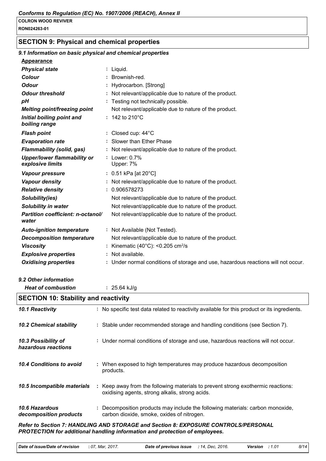#### **COLRON WOOD REVIVER RON024263-01**

# **SECTION 9: Physical and chemical properties**

| 9.1 Information on basic physical and chemical properties |                                                                                              |
|-----------------------------------------------------------|----------------------------------------------------------------------------------------------|
| <b>Appearance</b>                                         |                                                                                              |
| <b>Physical state</b>                                     | : Liquid.                                                                                    |
| <b>Colour</b>                                             | Brownish-red.                                                                                |
| <b>Odour</b>                                              | Hydrocarbon. [Strong]                                                                        |
| <b>Odour threshold</b>                                    | Not relevant/applicable due to nature of the product.                                        |
| рH                                                        | Testing not technically possible.                                                            |
| Melting point/freezing point                              | Not relevant/applicable due to nature of the product.                                        |
| Initial boiling point and<br>boiling range                | : 142 to 210 $^{\circ}$ C                                                                    |
| <b>Flash point</b>                                        | Closed cup: 44°C                                                                             |
| <b>Evaporation rate</b>                                   | Slower than Ether Phase                                                                      |
| <b>Flammability (solid, gas)</b>                          | Not relevant/applicable due to nature of the product.                                        |
| <b>Upper/lower flammability or</b><br>explosive limits    | Lower: 0.7%<br>Upper: 7%                                                                     |
| Vapour pressure                                           | : 0.51 kPa [at 20°C]                                                                         |
| <b>Vapour density</b>                                     | : Not relevant/applicable due to nature of the product.                                      |
| <b>Relative density</b>                                   | : 0.906578273                                                                                |
| Solubility(ies)                                           | Not relevant/applicable due to nature of the product.                                        |
| <b>Solubility in water</b>                                | Not relevant/applicable due to nature of the product.                                        |
| Partition coefficient: n-octanol/<br>water                | Not relevant/applicable due to nature of the product.                                        |
| <b>Auto-ignition temperature</b>                          | : Not Available (Not Tested).                                                                |
| <b>Decomposition temperature</b>                          | Not relevant/applicable due to nature of the product.                                        |
| <b>Viscosity</b>                                          | Kinematic (40 $^{\circ}$ C): <0.205 cm <sup>2</sup> /s                                       |
| <b>Explosive properties</b>                               | Not available.                                                                               |
| <b>Oxidising properties</b>                               | : Under normal conditions of storage and use, hazardous reactions will not occur.            |
| 9.2 Other information                                     |                                                                                              |
| <b>Heat of combustion</b>                                 | : $25.64$ kJ/g                                                                               |
| <b>SECTION 10: Stability and reactivity</b>               |                                                                                              |
| 10.1 Reactivity                                           | : No specific test data related to reactivity available for this product or its ingredients. |
| <b>10.2 Chemical stability</b>                            | : Stable under recommended storage and handling conditions (see Section 7).                  |
| 10.3 Possibility of<br>hazardous reactions                | : Under normal conditions of storage and use, hazardous reactions will not occur.            |

- **10.4 Conditions to avoid** : When exposed to high temperatures may produce hazardous decomposition products.
- : Keep away from the following materials to prevent strong exothermic reactions: oxidising agents, strong alkalis, strong acids. *10.5 Incompatible materials* **:**
- *10.6 Hazardous decomposition products* **:** Decomposition products may include the following materials: carbon monoxide, carbon dioxide, smoke, oxides of nitrogen.

*Refer to Section 7: HANDLING AND STORAGE and Section 8: EXPOSURE CONTROLS/PERSONAL PROTECTION for additional handling information and protection of employees.*

| Date of issue/Date of revision | : 07. Mar. 2017. | <b>Date of previous issue</b> : 14, Dec, 2016. |  | Version : 1.01 | 8/14 |
|--------------------------------|------------------|------------------------------------------------|--|----------------|------|
|--------------------------------|------------------|------------------------------------------------|--|----------------|------|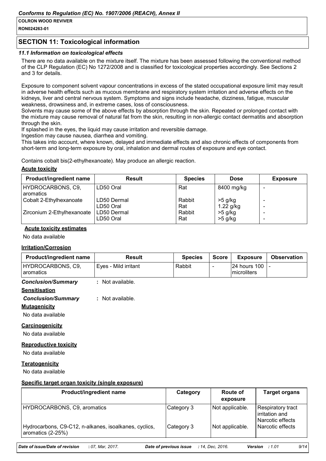**RON024263-01**

# **SECTION 11: Toxicological information**

#### *11.1 Information on toxicological effects*

There are no data available on the mixture itself. The mixture has been assessed following the conventional method of the CLP Regulation (EC) No 1272/2008 and is classified for toxicological properties accordingly. See Sections 2 and 3 for details.

Exposure to component solvent vapour concentrations in excess of the stated occupational exposure limit may result in adverse health effects such as mucous membrane and respiratory system irritation and adverse effects on the kidneys, liver and central nervous system. Symptoms and signs include headache, dizziness, fatigue, muscular weakness, drowsiness and, in extreme cases, loss of consciousness.

Solvents may cause some of the above effects by absorption through the skin. Repeated or prolonged contact with the mixture may cause removal of natural fat from the skin, resulting in non-allergic contact dermatitis and absorption through the skin.

If splashed in the eyes, the liquid may cause irritation and reversible damage.

Ingestion may cause nausea, diarrhea and vomiting.

This takes into account, where known, delayed and immediate effects and also chronic effects of components from short-term and long-term exposure by oral, inhalation and dermal routes of exposure and eye contact.

Contains cobalt bis(2-ethylhexanoate). May produce an allergic reaction.

#### **Acute toxicity**

| <b>Product/ingredient name</b>   | <b>Result</b>            | <b>Species</b> | <b>Dose</b>              | <b>Exposure</b> |
|----------------------------------|--------------------------|----------------|--------------------------|-----------------|
| HYDROCARBONS, C9,<br>I aromatics | LD50 Oral                | Rat            | 8400 mg/kg               |                 |
| Cobalt 2-Ethylhexanoate          | LD50 Dermal<br>LD50 Oral | Rabbit<br>Rat  | $>5$ g/kg<br>$1.22$ g/kg |                 |
| Zirconium 2-Ethylhexanoate       | LD50 Dermal<br>LD50 Oral | Rabbit<br>Rat  | >5 g/kg<br>$>5$ g/kg     |                 |

#### **Acute toxicity estimates**

No data available

#### **Irritation/Corrosion**

| <b>Product/ingredient name</b> | Result               | <b>Species</b> | <b>Score</b> | <b>Exposure</b>                               | <b>Observation</b> |
|--------------------------------|----------------------|----------------|--------------|-----------------------------------------------|--------------------|
| HYDROCARBONS, C9,<br>aromatics | Eves - Mild irritant | Rabbit         |              | <b>24 hours 100 L-</b><br><b>Imicroliters</b> |                    |

#### *Conclusion/Summary* **:** Not available.

#### **Sensitisation**

#### *Conclusion/Summary* **:** Not available.

**Mutagenicity**

No data available

# **Carcinogenicity**

No data available

#### **Reproductive toxicity**

No data available

#### **Teratogenicity**

No data available

#### **Specific target organ toxicity (single exposure)**

| <b>Product/ingredient name</b>                                             | Category   | <b>Route of</b><br>exposure | <b>Target organs</b>                                           |
|----------------------------------------------------------------------------|------------|-----------------------------|----------------------------------------------------------------|
| HYDROCARBONS, C9, aromatics                                                | Category 3 | Not applicable.             | <b>Respiratory tract</b><br>irritation and<br>Narcotic effects |
| Hydrocarbons, C9-C12, n-alkanes, isoalkanes, cyclics,<br>aromatics (2-25%) | Category 3 | Not applicable.             | l Narcotic effects                                             |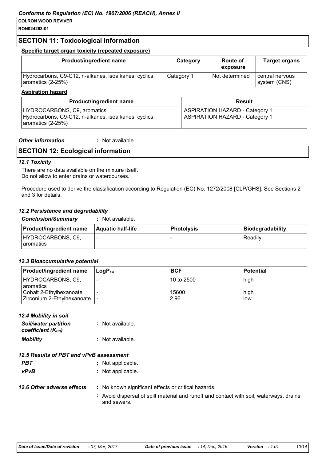**RON024263-01**

# **SECTION 11: Toxicological information**

#### **Specific target organ toxicity (repeated exposure)**

| Hydrocarbons, C9-C12, n-alkanes, isoalkanes, cyclics,<br>aromatics (2-25%) | Category 1 | Not determined | I central nervous<br>system (CNS) |
|----------------------------------------------------------------------------|------------|----------------|-----------------------------------|

#### **Aspiration hazard**

| <b>Product/ingredient name</b>                                                                                    | Result                                                                         |
|-------------------------------------------------------------------------------------------------------------------|--------------------------------------------------------------------------------|
| HYDROCARBONS, C9, aromatics<br>Hydrocarbons, C9-C12, n-alkanes, isoalkanes, cyclics,<br>$\vert$ aromatics (2-25%) | <b>ASPIRATION HAZARD - Category 1</b><br><b>ASPIRATION HAZARD - Category 1</b> |

#### *Other information* **:** : Not available.

## **SECTION 12: Ecological information**

#### *12.1 Toxicity*

There are no data available on the mixture itself. Do not allow to enter drains or watercourses.

Procedure used to derive the classification according to Regulation (EC) No. 1272/2008 [CLP/GHS]. See Sections 2 and 3 for details.

#### *12.2 Persistence and degradability*

*Conclusion/Summary* **:** Not available.

| <b>Product/ingredient name</b>   | <b>Aquatic half-life</b> | <b>Photolysis</b> | Biodegradability |
|----------------------------------|--------------------------|-------------------|------------------|
| HYDROCARBONS, C9,<br>l aromatics |                          |                   | Readily          |

#### *12.3 Bioaccumulative potential*

| Product/ingredient name                               | l LoɑP <sub>∾</sub> | <b>BCF</b>    | <b>Potential</b>     |
|-------------------------------------------------------|---------------------|---------------|----------------------|
| HYDROCARBONS, C9,<br><b>aromatics</b>                 |                     | l10 to 2500   | high                 |
| Cobalt 2-Ethylhexanoate<br>Zirconium 2-Ethylhexanoate | ۰                   | 15600<br>2.96 | high<br><b>I</b> low |

#### *12.4 Mobility in soil*

| <b>Soil/water partition</b><br>coefficient (Koc) | : Not available. |
|--------------------------------------------------|------------------|
| <b>Mobility</b>                                  | : Not available. |

#### *12.5 Results of PBT and vPvB assessment*

- **PBT** : Not applicable.
- *vPvB* **:** Not applicable.
- **12.6 Other adverse effects** : No known significant effects or critical hazards.
	- **:** Avoid dispersal of spilt material and runoff and contact with soil, waterways, drains and sewers.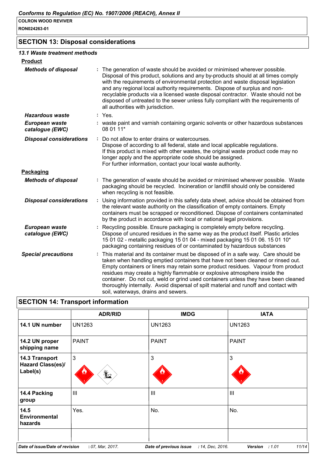**RON024263-01**

# **SECTION 13: Disposal considerations**

#### *13.1 Waste treatment methods*

| <b>Product</b>                    |                                                                                                                                                                                                                                                                                                                                                                                                                                                                                                                                                               |
|-----------------------------------|---------------------------------------------------------------------------------------------------------------------------------------------------------------------------------------------------------------------------------------------------------------------------------------------------------------------------------------------------------------------------------------------------------------------------------------------------------------------------------------------------------------------------------------------------------------|
| <b>Methods of disposal</b>        | : The generation of waste should be avoided or minimised wherever possible.<br>Disposal of this product, solutions and any by-products should at all times comply<br>with the requirements of environmental protection and waste disposal legislation<br>and any regional local authority requirements. Dispose of surplus and non-<br>recyclable products via a licensed waste disposal contractor. Waste should not be<br>disposed of untreated to the sewer unless fully compliant with the requirements of<br>all authorities with jurisdiction.          |
| <b>Hazardous waste</b>            | : Yes.                                                                                                                                                                                                                                                                                                                                                                                                                                                                                                                                                        |
| European waste<br>catalogue (EWC) | : waste paint and varnish containing organic solvents or other hazardous substances<br>08 01 11*                                                                                                                                                                                                                                                                                                                                                                                                                                                              |
| <b>Disposal considerations</b>    | : Do not allow to enter drains or watercourses.<br>Dispose of according to all federal, state and local applicable regulations.<br>If this product is mixed with other wastes, the original waste product code may no<br>longer apply and the appropriate code should be assigned.<br>For further information, contact your local waste authority.                                                                                                                                                                                                            |
| Packaging                         |                                                                                                                                                                                                                                                                                                                                                                                                                                                                                                                                                               |
| <b>Methods of disposal</b>        | : The generation of waste should be avoided or minimised wherever possible. Waste<br>packaging should be recycled. Incineration or landfill should only be considered<br>when recycling is not feasible.                                                                                                                                                                                                                                                                                                                                                      |
| <b>Disposal considerations</b>    | : Using information provided in this safety data sheet, advice should be obtained from<br>the relevant waste authority on the classification of empty containers. Empty<br>containers must be scrapped or reconditioned. Dispose of containers contaminated<br>by the product in accordance with local or national legal provisions.                                                                                                                                                                                                                          |
| European waste<br>catalogue (EWC) | : Recycling possible. Ensure packaging is completely empty before recycling.<br>Dispose of uncured residues in the same way as the product itself. Plastic articles<br>15 01 02 - metallic packaging 15 01 04 - mixed packaging 15 01 06. 15 01 10*<br>packaging containing residues of or contaminated by hazardous substances                                                                                                                                                                                                                               |
| <b>Special precautions</b>        | : This material and its container must be disposed of in a safe way. Care should be<br>taken when handling emptied containers that have not been cleaned or rinsed out.<br>Empty containers or liners may retain some product residues. Vapour from product<br>residues may create a highly flammable or explosive atmosphere inside the<br>container. Do not cut, weld or grind used containers unless they have been cleaned<br>thoroughly internally. Avoid dispersal of spilt material and runoff and contact with<br>soil, waterways, drains and sewers. |

# **SECTION 14: Transport information**

|                                                        | <b>ADR/RID</b>                   | <b>IMDG</b>                                | <b>IATA</b>                       |
|--------------------------------------------------------|----------------------------------|--------------------------------------------|-----------------------------------|
| 14.1 UN number                                         | <b>UN1263</b>                    | <b>UN1263</b>                              | <b>UN1263</b>                     |
| 14.2 UN proper<br>shipping name                        | <b>PAINT</b>                     | <b>PAINT</b>                               | <b>PAINT</b>                      |
| 14.3 Transport<br><b>Hazard Class(es)/</b><br>Label(s) | $\mathfrak{B}$<br>$\mathbf{Y}_2$ | 3                                          | 3                                 |
| 14.4 Packing<br>group                                  | III                              | III                                        | $\mathbf{III}$                    |
| 14.5<br><b>Environmental</b><br>hazards                | Yes.                             | No.                                        | No.                               |
| Date of issue/Date of revision                         | : 07, Mar, 2017.                 | Date of previous issue<br>: 14, Dec, 2016. | 11/14<br><b>Version</b><br>: 1.01 |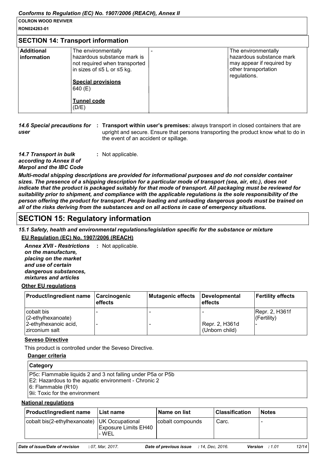#### **COLRON WOOD REVIVER RON024263-01**

### **SECTION 14: Transport information**

| <b>SECTION 14. Hansport Information</b> |                                                                                                                                                                                          |  |                                                                                                                      |
|-----------------------------------------|------------------------------------------------------------------------------------------------------------------------------------------------------------------------------------------|--|----------------------------------------------------------------------------------------------------------------------|
| <b>Additional</b><br>information        | The environmentally<br>hazardous substance mark is<br>not required when transported<br>in sizes of ≤5 L or ≤5 kg.<br><b>Special provisions</b><br>640 (E)<br><b>Tunnel code</b><br>(D/E) |  | The environmentally<br>hazardous substance mark<br>may appear if required by<br>other transportation<br>regulations. |
|                                         |                                                                                                                                                                                          |  |                                                                                                                      |

14.6 Special precautions for : Transport within user's premises: always transport in closed containers that are *user* upright and secure. Ensure that persons transporting the product know what to do in the event of an accident or spillage.

*14.7 Transport in bulk according to Annex II of Marpol and the IBC Code* **:** Not applicable.

*Multi-modal shipping descriptions are provided for informational purposes and do not consider container sizes. The presence of a shipping description for a particular mode of transport (sea, air, etc.), does not indicate that the product is packaged suitably for that mode of transport. All packaging must be reviewed for suitability prior to shipment, and compliance with the applicable regulations is the sole responsibility of the person offering the product for transport. People loading and unloading dangerous goods must be trained on all of the risks deriving from the substances and on all actions in case of emergency situations.*

# **SECTION 15: Regulatory information**

*15.1 Safety, health and environmental regulations/legislation specific for the substance or mixture* **EU Regulation (EC) No. 1907/2006 (REACH)**

Annex XVII - Restrictions : Not applicable. *on the manufacture, placing on the market and use of certain dangerous substances, mixtures and articles*

#### **Other EU regulations**

| <b>Product/ingredient name</b>          | Carcinogenic<br>effects | Mutagenic effects | Developmental<br>l effects       | <b>Fertility effects</b>          |
|-----------------------------------------|-------------------------|-------------------|----------------------------------|-----------------------------------|
| cobalt bis<br>$(2$ -ethylhexanoate)     |                         |                   |                                  | Repr. 2, H361f<br>$ $ (Fertility) |
| 2-ethylhexanoic acid,<br>zirconium salt |                         |                   | Repr. 2, H361d<br>(Unborn child) |                                   |

#### **Seveso Directive**

This product is controlled under the Seveso Directive.

#### **Danger criteria**

| <b>Category</b>                                                                                                                                                                         |
|-----------------------------------------------------------------------------------------------------------------------------------------------------------------------------------------|
| <b>P5c: Flammable liquids 2 and 3 not falling under P5a or P5b</b><br>E2: Hazardous to the aquatic environment - Chronic 2<br>$ 6:$ Flammable $(R10)$<br>9ii: Toxic for the environment |

#### **National regulations**

| <b>Product/ingredient name</b>                 | l List name                          | <b>Name on list</b> | <b>Classification</b> | <b>Notes</b> |
|------------------------------------------------|--------------------------------------|---------------------|-----------------------|--------------|
| cobalt bis(2-ethylhexanoate)   UK Occupational | <b>Exposure Limits EH40</b><br>- WEL | cobalt compounds    | Carc.                 |              |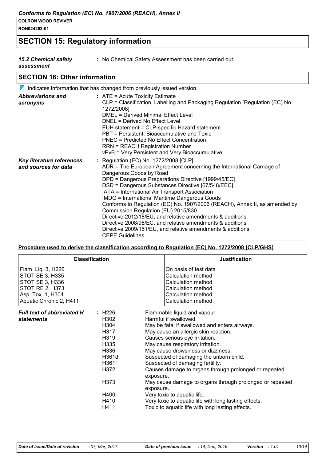**RON024263-01**

# **SECTION 15: Regulatory information**

*15.2 Chemical safety* 

**:** No Chemical Safety Assessment has been carried out.

*assessment*

# **SECTION 16: Other information**

|                                                   | $\triangledown$ Indicates information that has changed from previously issued version.                                                                                                                                                                                                                                                                                                                                                                                                                                                                                                                                                                                                                 |
|---------------------------------------------------|--------------------------------------------------------------------------------------------------------------------------------------------------------------------------------------------------------------------------------------------------------------------------------------------------------------------------------------------------------------------------------------------------------------------------------------------------------------------------------------------------------------------------------------------------------------------------------------------------------------------------------------------------------------------------------------------------------|
| <b>Abbreviations and</b><br>acronyms              | $:$ ATE = Acute Toxicity Estimate<br>CLP = Classification, Labelling and Packaging Regulation [Regulation (EC) No.<br>1272/2008]<br>DMEL = Derived Minimal Effect Level<br>DNEL = Derived No Effect Level<br>EUH statement = CLP-specific Hazard statement<br>PBT = Persistent, Bioaccumulative and Toxic<br>PNEC = Predicted No Effect Concentration<br><b>RRN = REACH Registration Number</b><br>vPvB = Very Persistent and Very Bioaccumulative                                                                                                                                                                                                                                                     |
| Key literature references<br>and sources for data | : Regulation (EC) No. 1272/2008 [CLP]<br>ADR = The European Agreement concerning the International Carriage of<br>Dangerous Goods by Road<br>DPD = Dangerous Preparations Directive [1999/45/EC]<br>DSD = Dangerous Substances Directive [67/548/EEC]<br>IATA = International Air Transport Association<br><b>IMDG = International Maritime Dangerous Goods</b><br>Conforms to Regulation (EC) No. 1907/2006 (REACH), Annex II, as amended by<br>Commission Regulation (EU) 2015/830<br>Directive 2012/18/EU, and relative amendments & additions<br>Directive 2008/98/EC, and relative amendments & additions<br>Directive 2009/161/EU, and relative amendments & additions<br><b>CEPE Guidelines</b> |

#### **Procedure used to derive the classification according to Regulation (EC) No. 1272/2008 [CLP/GHS]**

|                                                                                                                             | <b>Classification</b>                                                                                            | <b>Justification</b>                                                                                                                                                                                                                                                                                                                                                                                                                                                                                                                                                                                                                  |
|-----------------------------------------------------------------------------------------------------------------------------|------------------------------------------------------------------------------------------------------------------|---------------------------------------------------------------------------------------------------------------------------------------------------------------------------------------------------------------------------------------------------------------------------------------------------------------------------------------------------------------------------------------------------------------------------------------------------------------------------------------------------------------------------------------------------------------------------------------------------------------------------------------|
| Flam. Liq. 3, H226<br>STOT SE 3, H335<br>STOT SE 3, H336<br>STOT RE 2, H373<br>Asp. Tox. 1, H304<br>Aquatic Chronic 2, H411 |                                                                                                                  | On basis of test data<br>Calculation method<br>Calculation method<br>Calculation method<br>Calculation method<br>Calculation method                                                                                                                                                                                                                                                                                                                                                                                                                                                                                                   |
| <b>Full text of abbreviated H</b><br>statements                                                                             | : H226<br>H302<br>H304<br>H317<br>H319<br>H335<br>H336<br>H361d<br>H361f<br>H372<br>H373<br>H400<br>H410<br>H411 | Flammable liquid and vapour.<br>Harmful if swallowed.<br>May be fatal if swallowed and enters airways.<br>May cause an allergic skin reaction.<br>Causes serious eye irritation.<br>May cause respiratory irritation.<br>May cause drowsiness or dizziness.<br>Suspected of damaging the unborn child.<br>Suspected of damaging fertility.<br>Causes damage to organs through prolonged or repeated<br>exposure.<br>May cause damage to organs through prolonged or repeated<br>exposure.<br>Very toxic to aquatic life.<br>Very toxic to aquatic life with long lasting effects.<br>Toxic to aquatic life with long lasting effects. |